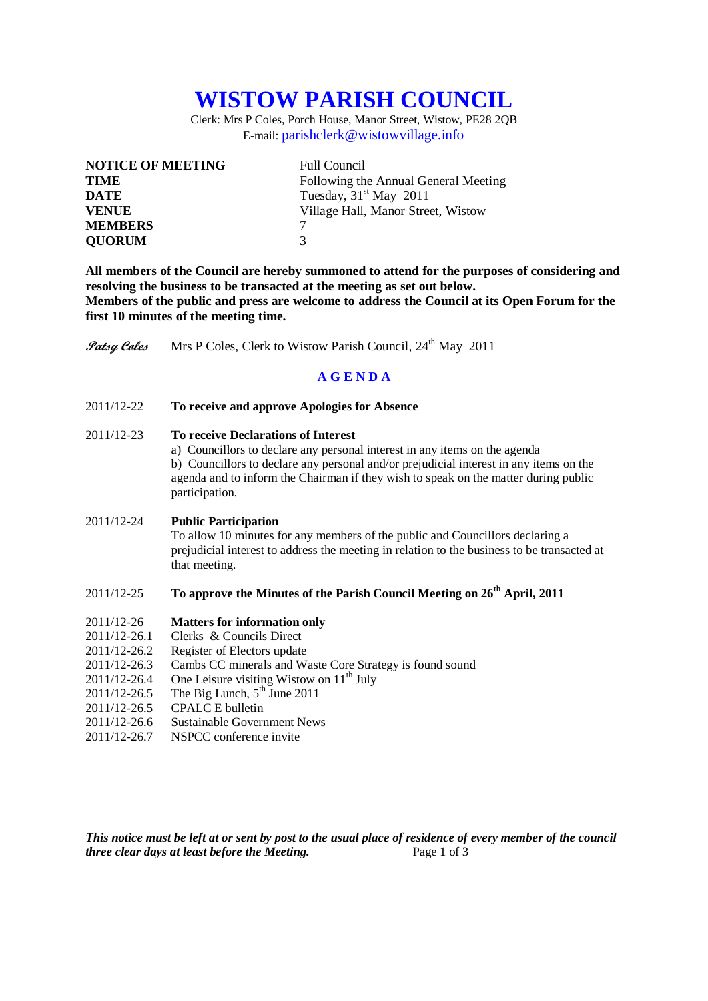# **WISTOW PARISH COUNCIL**

Clerk: Mrs P Coles, Porch House, Manor Street, Wistow, PE28 2QB E-mail: [parishclerk@wistowvillage.info](mailto:parishclerk@wistowvillage.info)

| <b>NOTICE OF MEETING</b> | <b>Full Council</b>                  |
|--------------------------|--------------------------------------|
| <b>TIME</b>              | Following the Annual General Meeting |
| <b>DATE</b>              | Tuesday, $31st$ May 2011             |
| <b>VENUE</b>             | Village Hall, Manor Street, Wistow   |
| <b>MEMBERS</b>           |                                      |
| <b>OUORUM</b>            | 3                                    |

**All members of the Council are hereby summoned to attend for the purposes of considering and resolving the business to be transacted at the meeting as set out below. Members of the public and press are welcome to address the Council at its Open Forum for the first 10 minutes of the meeting time.**

**Patsy Coles** Mrs P Coles, Clerk to Wistow Parish Council, 24<sup>th</sup> May 2011

## **A G E N D A**

2011/12-22 **To receive and approve Apologies for Absence**

### 2011/12-23 **To receive Declarations of Interest**

a) Councillors to declare any personal interest in any items on the agenda b) Councillors to declare any personal and/or prejudicial interest in any items on the agenda and to inform the Chairman if they wish to speak on the matter during public participation.

#### 2011/12-24 **Public Participation**

To allow 10 minutes for any members of the public and Councillors declaring a prejudicial interest to address the meeting in relation to the business to be transacted at that meeting.

# 2011/12-25 **To approve the Minutes of the Parish Council Meeting on 26th April, 2011**

#### 2011/12-26 **Matters for information only**

- 2011/12-26.1 Clerks & Councils Direct
- 2011/12-26.2 Register of Electors update
- 2011/12-26.3 Cambs CC minerals and Waste Core Strategy is found sound
- $2011/12-26.4$  One Leisure visiting Wistow on  $11<sup>th</sup>$  July
- 2011/12-26.5 The Big Lunch,  $5^{th}$  June 2011
- 2011/12-26.5 CPALC E bulletin
- 2011/12-26.6 Sustainable Government News
- 2011/12-26.7 NSPCC conference invite

*This notice must be left at or sent by post to the usual place of residence of every member of the council three clear days at least before the Meeting.* Page 1 of 3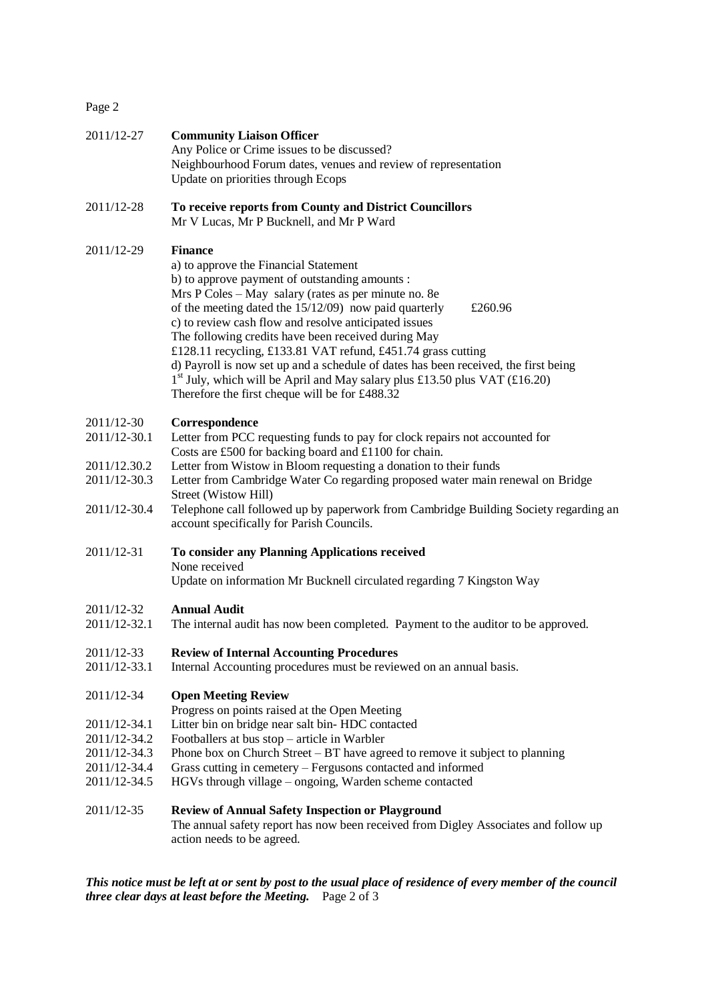| 2011/12-27                   | <b>Community Liaison Officer</b><br>Any Police or Crime issues to be discussed?<br>Neighbourhood Forum dates, venues and review of representation<br>Update on priorities through Ecops                                                                                                                                                                                                                                                                                                                                                                                                                                                        |
|------------------------------|------------------------------------------------------------------------------------------------------------------------------------------------------------------------------------------------------------------------------------------------------------------------------------------------------------------------------------------------------------------------------------------------------------------------------------------------------------------------------------------------------------------------------------------------------------------------------------------------------------------------------------------------|
| 2011/12-28                   | To receive reports from County and District Councillors<br>Mr V Lucas, Mr P Bucknell, and Mr P Ward                                                                                                                                                                                                                                                                                                                                                                                                                                                                                                                                            |
| 2011/12-29                   | <b>Finance</b><br>a) to approve the Financial Statement<br>b) to approve payment of outstanding amounts :<br>Mrs P Coles - May salary (rates as per minute no. 8e<br>of the meeting dated the 15/12/09) now paid quarterly<br>£260.96<br>c) to review cash flow and resolve anticipated issues<br>The following credits have been received during May<br>£128.11 recycling, £133.81 VAT refund, £451.74 grass cutting<br>d) Payroll is now set up and a schedule of dates has been received, the first being<br>$1st$ July, which will be April and May salary plus £13.50 plus VAT (£16.20)<br>Therefore the first cheque will be for £488.32 |
| 2011/12-30                   | Correspondence                                                                                                                                                                                                                                                                                                                                                                                                                                                                                                                                                                                                                                 |
| 2011/12-30.1                 | Letter from PCC requesting funds to pay for clock repairs not accounted for                                                                                                                                                                                                                                                                                                                                                                                                                                                                                                                                                                    |
| 2011/12.30.2                 | Costs are £500 for backing board and £1100 for chain.<br>Letter from Wistow in Bloom requesting a donation to their funds                                                                                                                                                                                                                                                                                                                                                                                                                                                                                                                      |
| 2011/12-30.3                 | Letter from Cambridge Water Co regarding proposed water main renewal on Bridge<br>Street (Wistow Hill)                                                                                                                                                                                                                                                                                                                                                                                                                                                                                                                                         |
| 2011/12-30.4                 | Telephone call followed up by paperwork from Cambridge Building Society regarding an<br>account specifically for Parish Councils.                                                                                                                                                                                                                                                                                                                                                                                                                                                                                                              |
| 2011/12-31                   | To consider any Planning Applications received<br>None received<br>Update on information Mr Bucknell circulated regarding 7 Kingston Way                                                                                                                                                                                                                                                                                                                                                                                                                                                                                                       |
|                              |                                                                                                                                                                                                                                                                                                                                                                                                                                                                                                                                                                                                                                                |
| 2011/12-32<br>2011/12-32.1   | <b>Annual Audit</b><br>The internal audit has now been completed. Payment to the auditor to be approved.                                                                                                                                                                                                                                                                                                                                                                                                                                                                                                                                       |
| 2011/12-33<br>2011/12-33.1   | <b>Review of Internal Accounting Procedures</b><br>Internal Accounting procedures must be reviewed on an annual basis.                                                                                                                                                                                                                                                                                                                                                                                                                                                                                                                         |
| 2011/12-34                   | <b>Open Meeting Review</b><br>Progress on points raised at the Open Meeting                                                                                                                                                                                                                                                                                                                                                                                                                                                                                                                                                                    |
| 2011/12-34.1                 | Litter bin on bridge near salt bin-HDC contacted                                                                                                                                                                                                                                                                                                                                                                                                                                                                                                                                                                                               |
| 2011/12-34.2                 | Footballers at bus stop - article in Warbler                                                                                                                                                                                                                                                                                                                                                                                                                                                                                                                                                                                                   |
| 2011/12-34.3                 | Phone box on Church Street $- B T$ have agreed to remove it subject to planning                                                                                                                                                                                                                                                                                                                                                                                                                                                                                                                                                                |
| 2011/12-34.4<br>2011/12-34.5 | Grass cutting in cemetery – Fergusons contacted and informed<br>HGVs through village – ongoing, Warden scheme contacted                                                                                                                                                                                                                                                                                                                                                                                                                                                                                                                        |
| 2011/12-35                   | <b>Review of Annual Safety Inspection or Playground</b><br>The annual safety report has now been received from Digley Associates and follow up<br>action needs to be agreed.                                                                                                                                                                                                                                                                                                                                                                                                                                                                   |

*This notice must be left at or sent by post to the usual place of residence of every member of the council three clear days at least before the Meeting.* Page 2 of 3